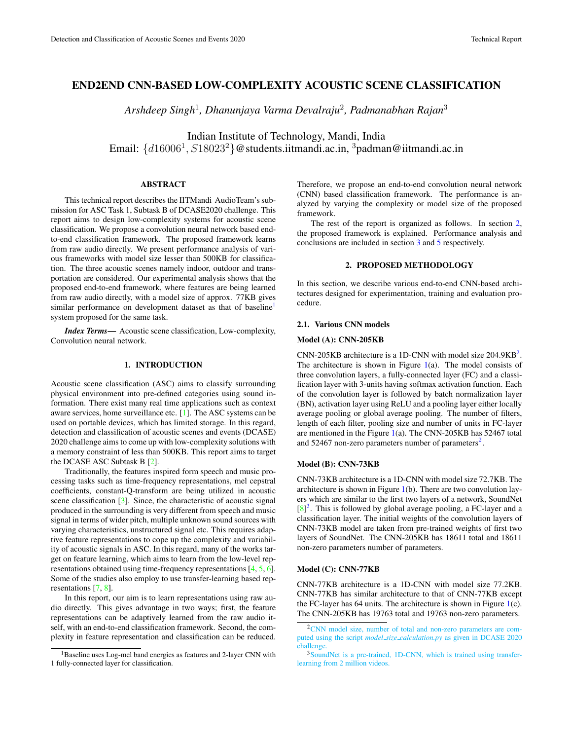# END2END CNN-BASED LOW-COMPLEXITY ACOUSTIC SCENE CLASSIFICATION

*Arshdeep Singh*<sup>1</sup> *, Dhanunjaya Varma Devalraju*<sup>2</sup> *, Padmanabhan Rajan*<sup>3</sup>

Indian Institute of Technology, Mandi, India Email:  $\{d16006^1, S18023^2\}$ @students.iitmandi.ac.in,  $\frac{3}{2}$ padman@iitmandi.ac.in

#### ABSTRACT

This technical report describes the IITMandi AudioTeam's submission for ASC Task 1, Subtask B of DCASE2020 challenge. This report aims to design low-complexity systems for acoustic scene classification. We propose a convolution neural network based endto-end classification framework. The proposed framework learns from raw audio directly. We present performance analysis of various frameworks with model size lesser than 500KB for classification. The three acoustic scenes namely indoor, outdoor and transportation are considered. Our experimental analysis shows that the proposed end-to-end framework, where features are being learned from raw audio directly, with a model size of approx. 77KB gives similar performance on development dataset as that of baseline<sup>[1](#page-0-0)</sup> system proposed for the same task.

*Index Terms*— Acoustic scene classification, Low-complexity, Convolution neural network.

## 1. INTRODUCTION

Acoustic scene classification (ASC) aims to classify surrounding physical environment into pre-defined categories using sound information. There exist many real time applications such as context aware services, home surveillance etc. [\[1\]](#page-2-0). The ASC systems can be used on portable devices, which has limited storage. In this regard, detection and classification of acoustic scenes and events (DCASE) 2020 challenge aims to come up with low-complexity solutions with a memory constraint of less than 500KB. This report aims to target the DCASE ASC Subtask B [\[2\]](#page-2-1).

Traditionally, the features inspired form speech and music processing tasks such as time-frequency representations, mel cepstral coefficients, constant-Q-transform are being utilized in acoustic scene classification [\[3\]](#page-2-2). Since, the characteristic of acoustic signal produced in the surrounding is very different from speech and music signal in terms of wider pitch, multiple unknown sound sources with varying characteristics, unstructured signal etc. This requires adaptive feature representations to cope up the complexity and variability of acoustic signals in ASC. In this regard, many of the works target on feature learning, which aims to learn from the low-level representations obtained using time-frequency representations [\[4,](#page-2-3) [5,](#page-2-4) [6\]](#page-2-5). Some of the studies also employ to use transfer-learning based representations [\[7,](#page-2-6) [8\]](#page-2-7).

In this report, our aim is to learn representations using raw audio directly. This gives advantage in two ways; first, the feature representations can be adaptively learned from the raw audio itself, with an end-to-end classification framework. Second, the complexity in feature representation and classification can be reduced. Therefore, we propose an end-to-end convolution neural network (CNN) based classification framework. The performance is analyzed by varying the complexity or model size of the proposed framework.

The rest of the report is organized as follows. In section [2,](#page-0-1) the proposed framework is explained. Performance analysis and conclusions are included in section [3](#page-1-0) and [5](#page-2-8) respectively.

## 2. PROPOSED METHODOLOGY

<span id="page-0-1"></span>In this section, we describe various end-to-end CNN-based architectures designed for experimentation, training and evaluation procedure.

## 2.1. Various CNN models

#### <span id="page-0-4"></span>Model (A): CNN-205KB

CNN-[2](#page-0-2)05KB architecture is a 1D-CNN with model size  $204.9KB^2$ . The architecture is shown in Figure  $1(a)$  $1(a)$ . The model consists of three convolution layers, a fully-connected layer (FC) and a classification layer with 3-units having softmax activation function. Each of the convolution layer is followed by batch normalization layer (BN), activation layer using ReLU and a pooling layer either locally average pooling or global average pooling. The number of filters, length of each filter, pooling size and number of units in FC-layer are mentioned in the Figure  $1(a)$  $1(a)$ . The CNN-205KB has 52467 total and 5[2](#page-0-2)467 non-zero parameters number of parameters $2$ .

### Model (B): CNN-73KB

CNN-73KB architecture is a 1D-CNN with model size 72.7KB. The architecture is shown in Figure [1\(](#page-1-1)b). There are two convolution layers which are similar to the first two layers of a network, SoundNet  $[8]$ <sup>[3](#page-0-3)</sup>. This is followed by global average pooling, a FC-layer and a classification layer. The initial weights of the convolution layers of CNN-73KB model are taken from pre-trained weights of first two layers of SoundNet. The CNN-205KB has 18611 total and 18611 non-zero parameters number of parameters.

# Model (C): CNN-77KB

CNN-77KB architecture is a 1D-CNN with model size 77.2KB. CNN-77KB has similar architecture to that of CNN-77KB except the FC-layer has  $64$  units. The architecture is shown in Figure  $1(c)$  $1(c)$ . The CNN-205KB has 19763 total and 19763 non-zero parameters.

<span id="page-0-0"></span><sup>&</sup>lt;sup>1</sup>Baseline uses Log-mel band energies as features and 2-layer CNN with 1 fully-connected layer for classification.

<span id="page-0-2"></span><sup>2</sup>[CNN model size, number of total and non-zero parameters are com](https://github.com/toni-heittola/dcase2020_task1_baseline/blob/master/model_size_calculation.py/)puted using the script *model size calculation.py* [as given in DCASE 2020](https://github.com/toni-heittola/dcase2020_task1_baseline/blob/master/model_size_calculation.py/) [challenge.](https://github.com/toni-heittola/dcase2020_task1_baseline/blob/master/model_size_calculation.py/)

<span id="page-0-3"></span><sup>3</sup>[SoundNet is a pre-trained, 1D-CNN, which is trained using transfer](http://soundnet.csail.mit.edu/)[learning from 2 million videos.](http://soundnet.csail.mit.edu/)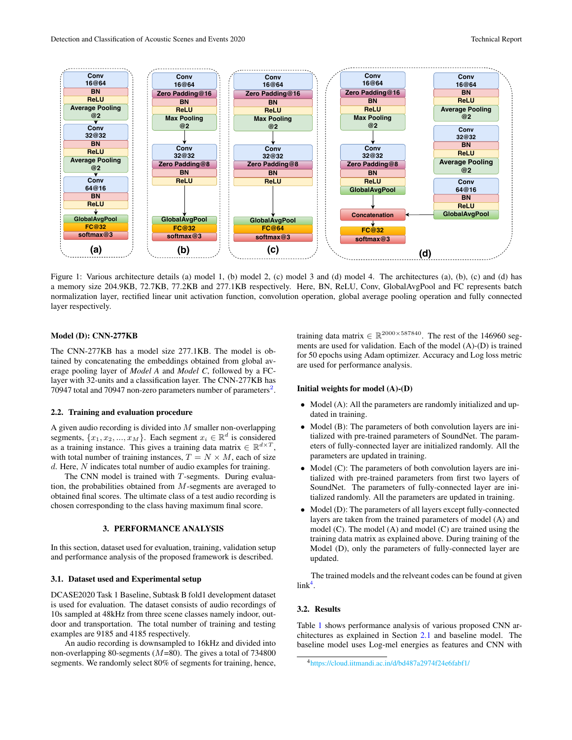

<span id="page-1-1"></span>Figure 1: Various architecture details (a) model 1, (b) model 2, (c) model 3 and (d) model 4. The architectures (a), (b), (c) and (d) has a memory size 204.9KB, 72.7KB, 77.2KB and 277.1KB respectively. Here, BN, ReLU, Conv, GlobalAvgPool and FC represents batch normalization layer, rectified linear unit activation function, convolution operation, global average pooling operation and fully connected layer respectively.

#### Model (D): CNN-277KB

The CNN-277KB has a model size 277.1KB. The model is obtained by concatenating the embeddings obtained from global average pooling layer of *Model A* and *Model C*, followed by a FClayer with 32-units and a classification layer. The CNN-277KB has 70947 total and 70947 non-zero parameters number of parameters<sup>[2](#page-0-2)</sup>.

## 2.2. Training and evaluation procedure

A given audio recording is divided into  $M$  smaller non-overlapping segments,  $\{x_1, x_2, ..., x_M\}$ . Each segment  $x_i \in \mathbb{R}^d$  is considered as a training instance. This gives a training data matrix  $\in \mathbb{R}^{d \times T}$ , with total number of training instances,  $T = N \times M$ , each of size  $d$ . Here,  $N$  indicates total number of audio examples for training.

The CNN model is trained with T-segments. During evaluation, the probabilities obtained from M-segments are averaged to obtained final scores. The ultimate class of a test audio recording is chosen corresponding to the class having maximum final score.

# 3. PERFORMANCE ANALYSIS

<span id="page-1-0"></span>In this section, dataset used for evaluation, training, validation setup and performance analysis of the proposed framework is described.

# 3.1. Dataset used and Experimental setup

DCASE2020 Task 1 Baseline, Subtask B fold1 development dataset is used for evaluation. The dataset consists of audio recordings of 10s sampled at 48kHz from three scene classes namely indoor, outdoor and transportation. The total number of training and testing examples are 9185 and 4185 respectively.

An audio recording is downsampled to 16kHz and divided into non-overlapping 80-segments ( $M=80$ ). The gives a total of 734800 segments. We randomly select 80% of segments for training, hence,

training data matrix  $\in \mathbb{R}^{2000 \times 587840}$ . The rest of the 146960 segments are used for validation. Each of the model (A)-(D) is trained for 50 epochs using Adam optimizer. Accuracy and Log loss metric are used for performance analysis.

#### Initial weights for model (A)-(D)

- Model (A): All the parameters are randomly initialized and updated in training.
- Model (B): The parameters of both convolution layers are initialized with pre-trained parameters of SoundNet. The parameters of fully-connected layer are initialized randomly. All the parameters are updated in training.
- Model (C): The parameters of both convolution layers are initialized with pre-trained parameters from first two layers of SoundNet. The parameters of fully-connected layer are initialized randomly. All the parameters are updated in training.
- Model (D): The parameters of all layers except fully-connected layers are taken from the trained parameters of model (A) and model (C). The model (A) and model (C) are trained using the training data matrix as explained above. During training of the Model (D), only the parameters of fully-connected layer are updated.

The trained models and the relveant codes can be found at given  $link<sup>4</sup>$  $link<sup>4</sup>$  $link<sup>4</sup>$ .

### 3.2. Results

Table [1](#page-2-9) shows performance analysis of various proposed CNN architectures as explained in Section [2.1](#page-0-4) and baseline model. The baseline model uses Log-mel energies as features and CNN with

<span id="page-1-2"></span><sup>4</sup><https://cloud.iitmandi.ac.in/d/bd487a2974f24e6fabf1/>